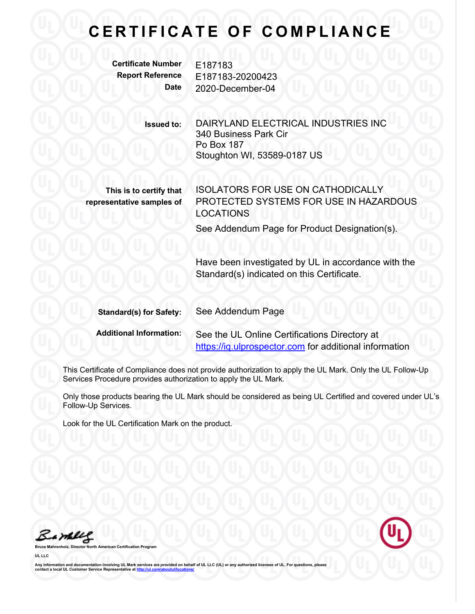## **CERTIFICATE OF COMPLIANCE**

**Certificate Number** E187183

**Report Reference** E187183-20200423 **Date** 2020-December-04

> **Issued to:** DAIRYLAND ELECTRICAL INDUSTRIES INC 340 Business Park Cir Po Box 187 Stoughton WI, 53589-0187 US

**This is to certify that representative samples of** ISOLATORS FOR USE ON CATHODICALLY PROTECTED SYSTEMS FOR USE IN HAZARDOUS LOCATIONS

See Addendum Page for Product Designation(s).

Have been investigated by UL in accordance with the Standard(s) indicated on this Certificate.

| <b>Standard(s) for Safety:</b> | See Addendum Page                                      |
|--------------------------------|--------------------------------------------------------|
| <b>Additional Information:</b> | See the UL Online Certifications Directory at          |
|                                | https://iq.ulprospector.com for additional information |

This Certificate of Compliance does not provide authorization to apply the UL Mark. Only the UL Follow-Up Services Procedure provides authorization to apply the UL Mark.

Only those products bearing the UL Mark should be considered as being UL Certified and covered under UL's Follow-Up Services.

Look for the UL Certification Mark on the product.

Barney

**Bruce Mahrenholz, Director North American Certification Program**

**UL LLC**

Any information and documentation involving UL Mark services are provided on behalf of UL LLC (UL) or any authorized licensee of UL. For questions, please<br>contact a local UL Customer Service Representative at <u>http://ul.co</u>